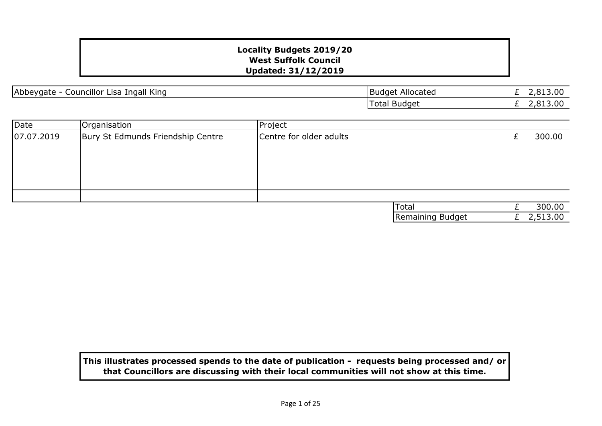| Abbeygate - Councillor Lisa Ingall King |  |  |  |  |
|-----------------------------------------|--|--|--|--|
|-----------------------------------------|--|--|--|--|

£ 2,813.00 £ 2,813.00 **Budget Allocated** Total Budget

| Date       | Organisation                      | Project                 |                  |          |
|------------|-----------------------------------|-------------------------|------------------|----------|
| 07.07.2019 | Bury St Edmunds Friendship Centre | Centre for older adults |                  | 300.00   |
|            |                                   |                         |                  |          |
|            |                                   |                         |                  |          |
|            |                                   |                         |                  |          |
|            |                                   |                         |                  |          |
|            |                                   |                         |                  |          |
|            |                                   |                         | <b>Total</b>     | 300.00   |
|            |                                   |                         | Remaining Budget | 2,513.00 |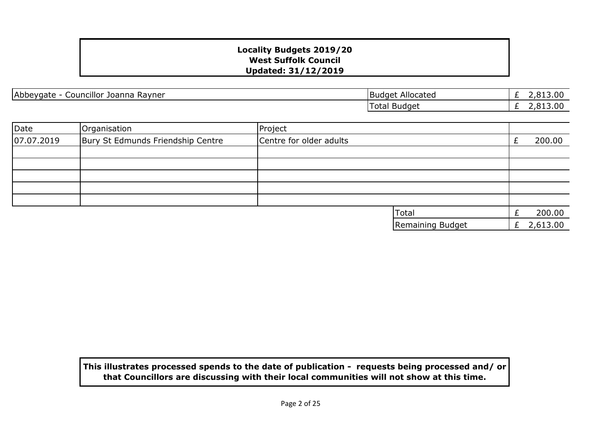Abbeygate - Councillor Joanna Rayner Budget Allocated Budget Allocated

£ 2,813.00 £ 2,813.00 Total Budget

| Date       | Organisation                      | Project                 |   |          |
|------------|-----------------------------------|-------------------------|---|----------|
| 07.07.2019 | Bury St Edmunds Friendship Centre | Centre for older adults |   | 200.00   |
|            |                                   |                         |   |          |
|            |                                   |                         |   |          |
|            |                                   |                         |   |          |
|            |                                   |                         |   |          |
|            |                                   |                         |   |          |
|            |                                   | Total                   |   | 200.00   |
|            |                                   | Remaining Budget        | £ | 2,613.00 |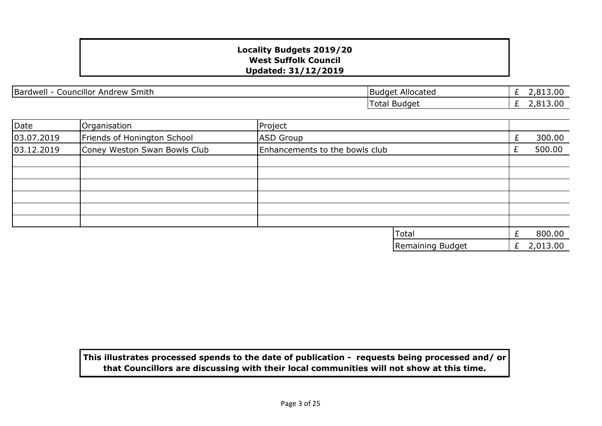Bardwell - Councillor Andrew Smith Budget Allocated

£ 2,813.00  $\overline{E}$  2,813.00 Total Budget

| Date       | Organisation                 | Project                        |                  |   |          |
|------------|------------------------------|--------------------------------|------------------|---|----------|
| 03.07.2019 | Friends of Honington School  | <b>ASD Group</b>               |                  | £ | 300.00   |
| 03.12.2019 | Coney Weston Swan Bowls Club | Enhancements to the bowls club |                  |   | 500.00   |
|            |                              |                                |                  |   |          |
|            |                              |                                |                  |   |          |
|            |                              |                                |                  |   |          |
|            |                              |                                |                  |   |          |
|            |                              |                                |                  |   |          |
|            |                              |                                |                  |   |          |
|            |                              |                                | Total            | £ | 800.00   |
|            |                              |                                | Remaining Budget | £ | 2,013.00 |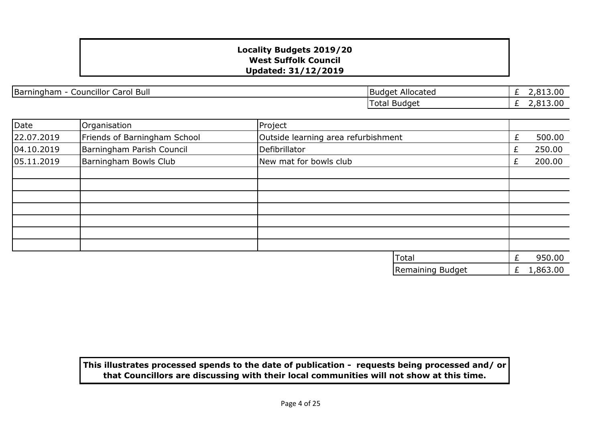|Barningham - Councillor Carol Bull Budget Allocated

£ 2,813.00  $\overline{E}$  2,813.00 Total Budget

| Date       | Organisation                 | Project                             |                  |    |          |
|------------|------------------------------|-------------------------------------|------------------|----|----------|
| 22.07.2019 | Friends of Barningham School | Outside learning area refurbishment |                  |    | 500.00   |
| 04.10.2019 | Barningham Parish Council    | Defibrillator                       |                  | Ł. | 250.00   |
| 05.11.2019 | Barningham Bowls Club        | New mat for bowls club              |                  | £  | 200.00   |
|            |                              |                                     |                  |    |          |
|            |                              |                                     |                  |    |          |
|            |                              |                                     |                  |    |          |
|            |                              |                                     |                  |    |          |
|            |                              |                                     |                  |    |          |
|            |                              |                                     |                  |    |          |
|            |                              |                                     |                  |    |          |
|            |                              |                                     | <b>Total</b>     |    | 950.00   |
|            |                              |                                     | Remaining Budget | £  | 1,863.00 |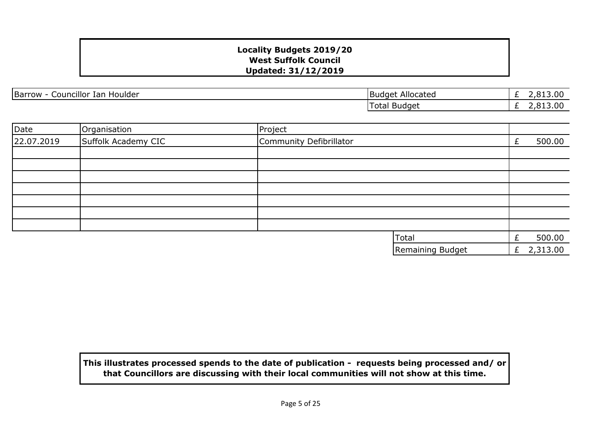Barrow - Councillor Ian Houlder **Barrow - Councillor Ian Houlder** Budget Allocated

£ 2,813.00 £ 2,813.00 Total Budget

| Date       | Organisation        | Project                 |   |          |
|------------|---------------------|-------------------------|---|----------|
| 22.07.2019 | Suffolk Academy CIC | Community Defibrillator | £ | 500.00   |
|            |                     |                         |   |          |
|            |                     |                         |   |          |
|            |                     |                         |   |          |
|            |                     |                         |   |          |
|            |                     |                         |   |          |
|            |                     |                         |   |          |
|            |                     |                         |   |          |
|            |                     | Total                   | £ | 500.00   |
|            |                     | Remaining Budget        | £ | 2,313.00 |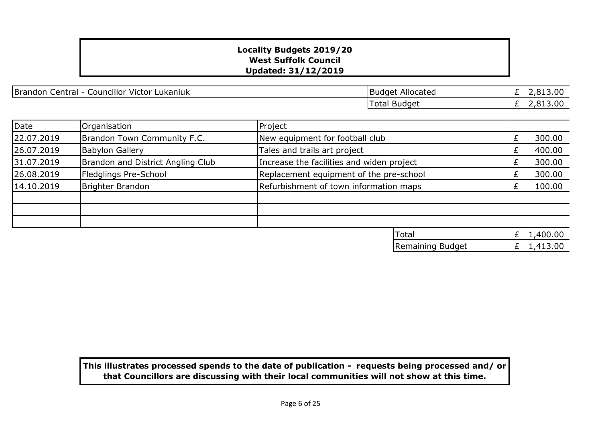Brandon Central - Councillor Victor Lukaniuk Brandon Central - Councillor Victor Lukaniuk

£ 2,813.00 £ 2,813.00 Total Budget

| Date       | Organisation                      | Project                                   |        |
|------------|-----------------------------------|-------------------------------------------|--------|
| 22.07.2019 | Brandon Town Community F.C.       | New equipment for football club           | 300.00 |
| 26.07.2019 | <b>Babylon Gallery</b>            | Tales and trails art project              | 400.00 |
| 31.07.2019 | Brandon and District Angling Club | Increase the facilities and widen project | 300.00 |
| 26.08.2019 | Fledglings Pre-School             | Replacement equipment of the pre-school   | 300.00 |
| 14.10.2019 | Brighter Brandon                  | Refurbishment of town information maps    | 100.00 |
|            |                                   |                                           |        |
|            |                                   |                                           |        |
|            |                                   |                                           |        |
|            |                                   | <b>ITotal</b>                             | 400.00 |

| lTotal           | 1,400.00 |
|------------------|----------|
| Remaining Budget | 1.413.00 |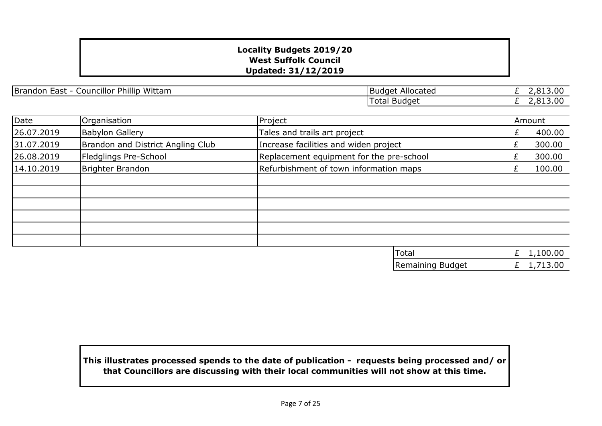Brandon East - Councillor Phillip Wittam Budget Allocated

 $E$  2,813.00<br> $E$  2,813.00 £ 2,813.00 Total Budget

| Date       | Organisation                      | Project                                  |                                        |   | Amount       |
|------------|-----------------------------------|------------------------------------------|----------------------------------------|---|--------------|
| 26.07.2019 | <b>Babylon Gallery</b>            | Tales and trails art project             |                                        | £ | 400.00       |
| 31.07.2019 | Brandon and District Angling Club | Increase facilities and widen project    |                                        | £ | 300.00       |
| 26.08.2019 | Fledglings Pre-School             | Replacement equipment for the pre-school |                                        | £ | 300.00       |
| 14.10.2019 | Brighter Brandon                  |                                          | Refurbishment of town information maps |   | 100.00       |
|            |                                   |                                          |                                        |   |              |
|            |                                   |                                          |                                        |   |              |
|            |                                   |                                          |                                        |   |              |
|            |                                   |                                          |                                        |   |              |
|            |                                   |                                          |                                        |   |              |
|            |                                   |                                          |                                        |   |              |
|            |                                   |                                          | <b>Total</b>                           |   | £ $1,100.00$ |
|            |                                   |                                          | Remaining Budget                       | £ | 1,713.00     |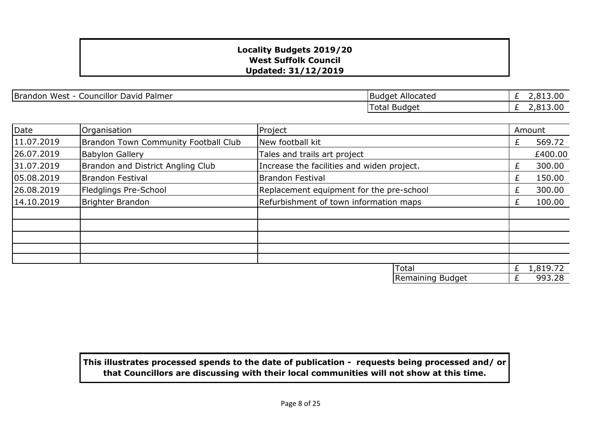Brandon West - Councillor David Palmer Budget Allocated Budget Allocated

Total Budget

£ 2,813.00 £ 2,813.00

| Date       | Organisation                                | Project                                    |                  |   | Amount   |
|------------|---------------------------------------------|--------------------------------------------|------------------|---|----------|
| 11.07.2019 | <b>Brandon Town Community Football Club</b> | New football kit                           |                  | £ | 569.72   |
| 26.07.2019 | <b>Babylon Gallery</b>                      | Tales and trails art project               |                  |   | £400.00  |
| 31.07.2019 | Brandon and District Angling Club           | Increase the facilities and widen project. |                  | £ | 300.00   |
| 05.08.2019 | <b>Brandon Festival</b>                     | <b>Brandon Festival</b>                    |                  | £ | 150.00   |
| 26.08.2019 | Fledglings Pre-School                       | Replacement equipment for the pre-school   |                  | £ | 300.00   |
| 14.10.2019 | Brighter Brandon                            | Refurbishment of town information maps     |                  | £ | 100.00   |
|            |                                             |                                            |                  |   |          |
|            |                                             |                                            |                  |   |          |
|            |                                             |                                            |                  |   |          |
|            |                                             |                                            |                  |   |          |
|            |                                             |                                            |                  |   |          |
|            |                                             |                                            | Total            | £ | 1,819.72 |
|            |                                             |                                            | Remaining Budget | £ | 993.28   |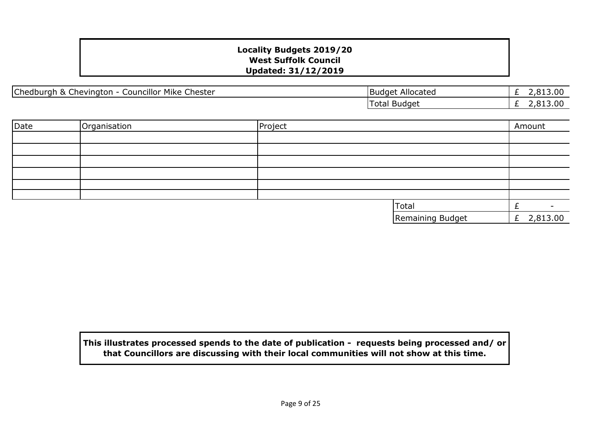|Chedburgh & Chevington - Councillor Mike Chester | National Chester |Budget Allocated

£ 2,813.00 £ 2,813.00 Total Budget

| Date | Organisation | Project |                  | Amount       |
|------|--------------|---------|------------------|--------------|
|      |              |         |                  |              |
|      |              |         |                  |              |
|      |              |         |                  |              |
|      |              |         |                  |              |
|      |              |         |                  |              |
|      |              |         |                  |              |
|      |              |         | Total            |              |
|      |              |         | Remaining Budget | £ $2,813.00$ |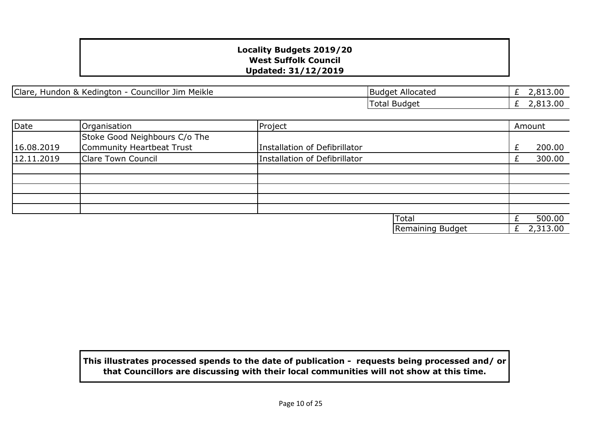|Clare, Hundon & Kedington - Councillor Jim Meikle | National Clare | Budget Allocated

£ 2,813.00 £ 2,813.00 Total Budget

| Date       | Organisation                  | Project                       |                  | Amount   |
|------------|-------------------------------|-------------------------------|------------------|----------|
|            | Stoke Good Neighbours C/o The |                               |                  |          |
| 16.08.2019 | Community Heartbeat Trust     | Installation of Defibrillator |                  | 200.00   |
| 12.11.2019 | Clare Town Council            | Installation of Defibrillator |                  | 300.00   |
|            |                               |                               |                  |          |
|            |                               |                               |                  |          |
|            |                               |                               |                  |          |
|            |                               |                               |                  |          |
|            |                               |                               |                  |          |
|            |                               |                               | Total            | 500.00   |
|            |                               |                               | Remaining Budget | 2,313.00 |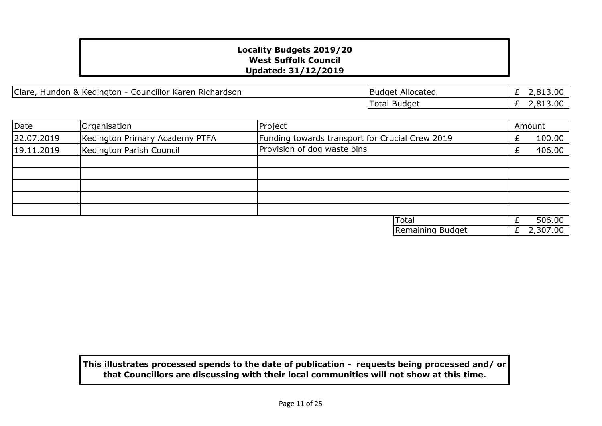Clare, Hundon & Kedington - Councillor Karen Richardson

| <b>Budget Allocated</b> | £ 2,813.00 |
|-------------------------|------------|
| Total Budget            | £ 2,813,00 |

| Date       | Organisation                   | Project                                         |   | Amount   |
|------------|--------------------------------|-------------------------------------------------|---|----------|
| 22.07.2019 | Kedington Primary Academy PTFA | Funding towards transport for Crucial Crew 2019 |   | 100.00   |
| 19.11.2019 | Kedington Parish Council       | Provision of dog waste bins                     |   | 406.00   |
|            |                                |                                                 |   |          |
|            |                                |                                                 |   |          |
|            |                                |                                                 |   |          |
|            |                                |                                                 |   |          |
|            |                                |                                                 |   |          |
|            |                                | <b>Total</b>                                    |   | 506.00   |
|            |                                | Remaining Budget                                | £ | 2,307.00 |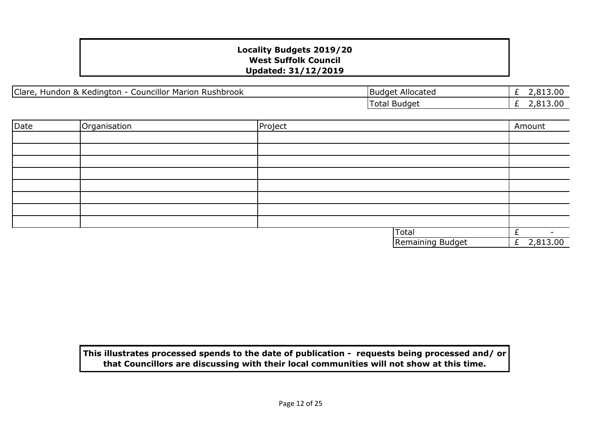Clare, Hundon & Kedington - Councillor Marion Rushbrook

| Budget Allocated | £ 2,813.00 |
|------------------|------------|
| Total Budget     | £ 2,813.00 |

| Date | Organisation | Project          | Amount                   |
|------|--------------|------------------|--------------------------|
|      |              |                  |                          |
|      |              |                  |                          |
|      |              |                  |                          |
|      |              |                  |                          |
|      |              |                  |                          |
|      |              |                  |                          |
|      |              |                  |                          |
|      |              |                  |                          |
|      |              | Total            | $\overline{\phantom{0}}$ |
|      |              | Remaining Budget | £ $2,813.00$             |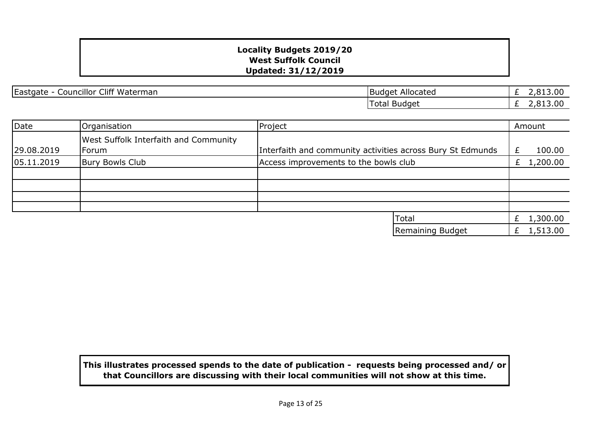Eastgate - Councillor Cliff Waterman Budget Allocated

£ 2,813.00 £ 2,813.00 Total Budget

| Date       | Organisation                                                 | Project                                                    | Amount       |
|------------|--------------------------------------------------------------|------------------------------------------------------------|--------------|
| 29.08.2019 | <b>West Suffolk Interfaith and Community</b><br><b>Forum</b> | Interfaith and community activities across Bury St Edmunds | 100.00       |
| 05.11.2019 | <b>Bury Bowls Club</b>                                       | Access improvements to the bowls club                      | £ $1,200.00$ |
|            |                                                              |                                                            |              |
|            |                                                              |                                                            |              |
|            |                                                              |                                                            |              |
|            |                                                              |                                                            |              |
|            |                                                              | <b>Total</b>                                               | 1,300.00     |
|            |                                                              | Remaining Budget                                           | 1,513.00     |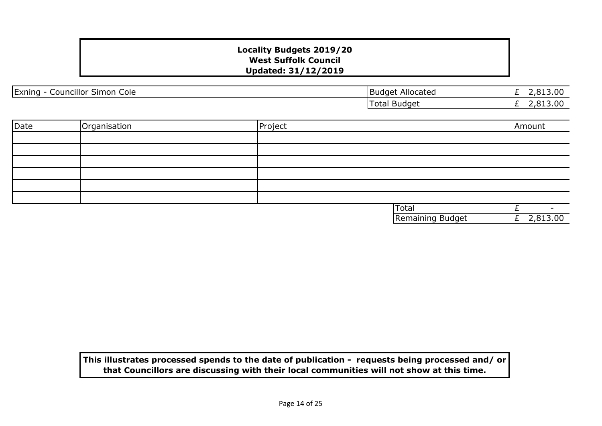| Exning<br>.<br>--<br>Cole<br>Councillor <sup>c</sup><br>Simon | .<br>Allocated<br>IBudget | .00<br>$\sim$<br>__ |
|---------------------------------------------------------------|---------------------------|---------------------|
|                                                               | l otal<br>Budget          | 2,813.00<br>-       |

| Date | Organisation | Project |                  | Amount        |
|------|--------------|---------|------------------|---------------|
|      |              |         |                  |               |
|      |              |         |                  |               |
|      |              |         |                  |               |
|      |              |         |                  |               |
|      |              |         |                  |               |
|      |              |         |                  |               |
|      |              |         | <b>Total</b>     | -             |
|      |              |         | Remaining Budget | 2,813.00<br>E |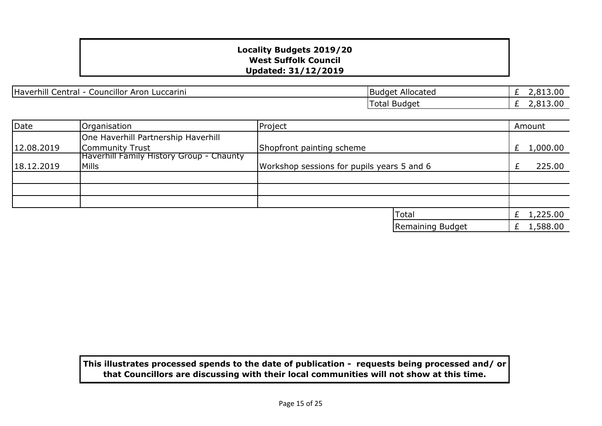Haverhill Central - Councillor Aron Luccarini Budget Allocated

£ 2,813.00 £ 2,813.00 Total Budget

| Date       | Organisation                                    | Project                                    |                  |   | Amount   |
|------------|-------------------------------------------------|--------------------------------------------|------------------|---|----------|
|            | One Haverhill Partnership Haverhill             |                                            |                  |   |          |
| 12.08.2019 | Community Trust                                 | Shopfront painting scheme                  |                  | £ | 1,000.00 |
|            | <b>Haverhill Family History Group - Chaunty</b> |                                            |                  |   |          |
| 18.12.2019 | Mills                                           | Workshop sessions for pupils years 5 and 6 |                  |   | 225.00   |
|            |                                                 |                                            |                  |   |          |
|            |                                                 |                                            |                  |   |          |
|            |                                                 |                                            |                  |   |          |
|            |                                                 |                                            | <b>Total</b>     |   | 1,225.00 |
|            |                                                 |                                            | Remaining Budget |   | 1,588.00 |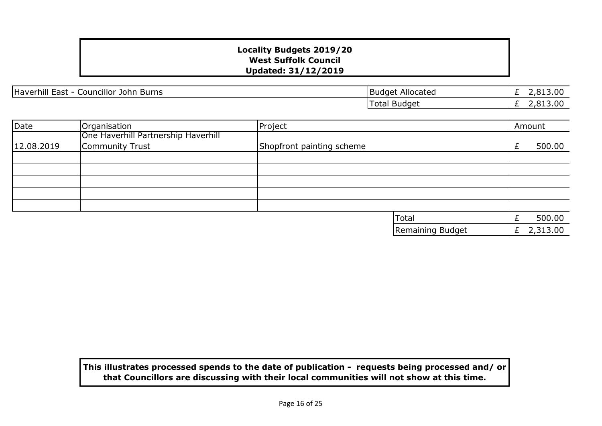Haverhill East - Councillor John Burns Burns Budget Allocated

£ 2,813.00 £ 2,813.00 Total Budget

| Date       | Organisation                        | Project                   |                  |   | Amount   |
|------------|-------------------------------------|---------------------------|------------------|---|----------|
|            | One Haverhill Partnership Haverhill |                           |                  |   |          |
| 12.08.2019 | Community Trust                     | Shopfront painting scheme |                  |   | 500.00   |
|            |                                     |                           |                  |   |          |
|            |                                     |                           |                  |   |          |
|            |                                     |                           |                  |   |          |
|            |                                     |                           |                  |   |          |
|            |                                     |                           |                  |   |          |
|            |                                     |                           | <b>Total</b>     |   | 500.00   |
|            |                                     |                           | Remaining Budget | £ | 2,313.00 |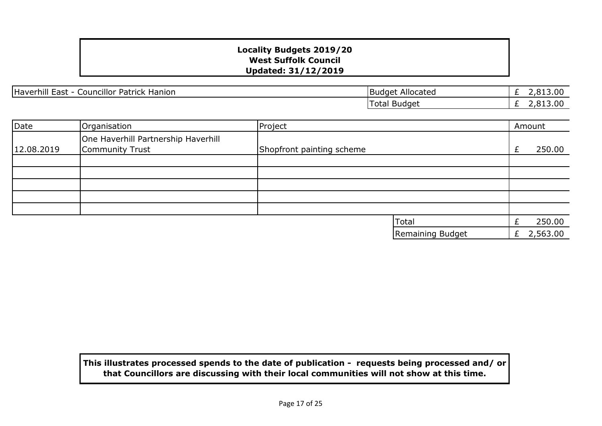Haverhill East - Councillor Patrick Hanion Budget Allocated Budget Allocated

£ 2,813.00 £ 2,813.00 Total Budget

| Date       | Organisation                                           | Project                   |                  |   | Amount   |
|------------|--------------------------------------------------------|---------------------------|------------------|---|----------|
| 12.08.2019 | One Haverhill Partnership Haverhill<br>Community Trust | Shopfront painting scheme |                  | £ | 250.00   |
|            |                                                        |                           |                  |   |          |
|            |                                                        |                           |                  |   |          |
|            |                                                        |                           |                  |   |          |
|            |                                                        |                           |                  |   |          |
|            |                                                        |                           |                  |   |          |
|            |                                                        |                           | Total            |   | 250.00   |
|            |                                                        |                           | Remaining Budget | £ | 2,563.00 |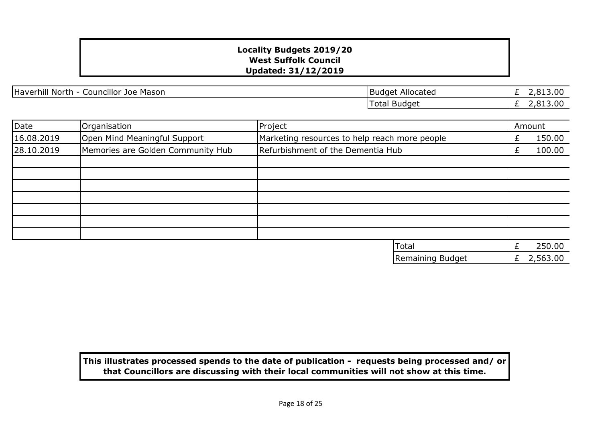Haverhill North - Councillor Joe Mason Budget Allocated

£ 2,813.00 £ 2,813.00 Total Budget

| Date       | Organisation                      | Project                                       |                  |   | Amount   |
|------------|-----------------------------------|-----------------------------------------------|------------------|---|----------|
| 16.08.2019 | Open Mind Meaningful Support      | Marketing resources to help reach more people |                  | £ | 150.00   |
| 28.10.2019 | Memories are Golden Community Hub | Refurbishment of the Dementia Hub             |                  | £ | 100.00   |
|            |                                   |                                               |                  |   |          |
|            |                                   |                                               |                  |   |          |
|            |                                   |                                               |                  |   |          |
|            |                                   |                                               |                  |   |          |
|            |                                   |                                               |                  |   |          |
|            |                                   |                                               |                  |   |          |
|            |                                   | Total                                         |                  | £ | 250.00   |
|            |                                   |                                               | Remaining Budget | £ | 2,563.00 |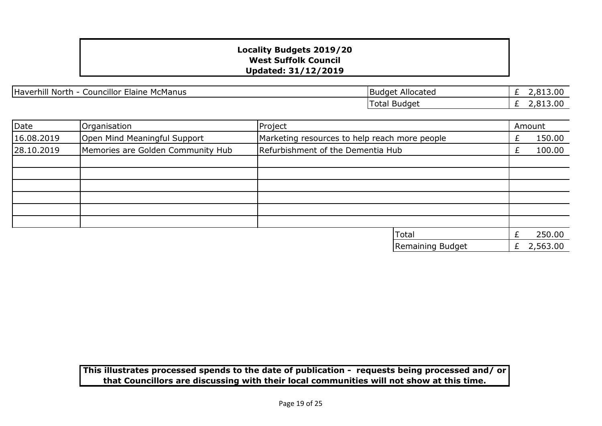Haverhill North - Councillor Elaine McManus

£ 2,813.00  $\overline{E}$  2,813.00 Total Budget

| Date       | Organisation                      | Project                                       |   | Amount   |
|------------|-----------------------------------|-----------------------------------------------|---|----------|
| 16.08.2019 | Open Mind Meaningful Support      | Marketing resources to help reach more people |   | 150.00   |
| 28.10.2019 | Memories are Golden Community Hub | Refurbishment of the Dementia Hub             |   | 100.00   |
|            |                                   |                                               |   |          |
|            |                                   |                                               |   |          |
|            |                                   |                                               |   |          |
|            |                                   |                                               |   |          |
|            |                                   |                                               |   |          |
|            |                                   |                                               |   |          |
|            |                                   | <b>Total</b>                                  |   | 250.00   |
|            |                                   | Remaining Budget                              | £ | 2,563.00 |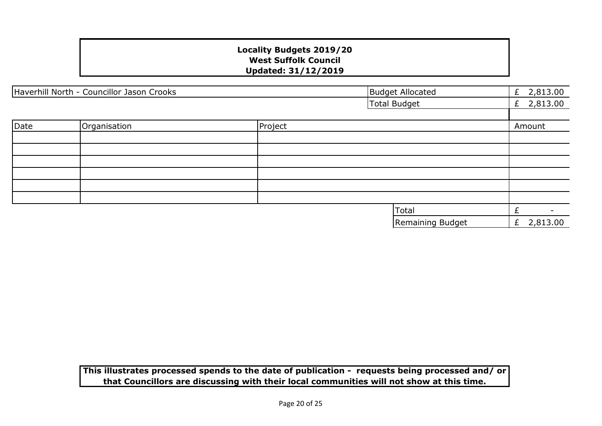| Haverhill North - Councillor Jason Crooks |              | <b>Budget Allocated</b> | £ $2,813.00$            |               |
|-------------------------------------------|--------------|-------------------------|-------------------------|---------------|
|                                           |              |                         | <b>Total Budget</b>     | £ $2,813.00$  |
|                                           |              |                         |                         |               |
| Date                                      | Organisation | Project                 |                         | Amount        |
|                                           |              |                         |                         |               |
|                                           |              |                         |                         |               |
|                                           |              |                         |                         |               |
|                                           |              |                         |                         |               |
|                                           |              |                         |                         |               |
|                                           |              |                         |                         |               |
|                                           |              |                         | Total                   | £<br>۰.       |
|                                           |              |                         | <b>Remaining Budget</b> | 2,813.00<br>£ |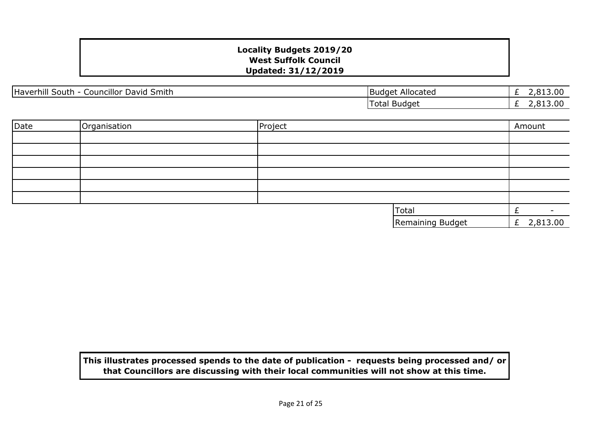| Haverhill S<br><br>Smith<br>David<br>_ouncillor<br>South - | <b>Budget</b><br>Allocated | 313.00<br>- |
|------------------------------------------------------------|----------------------------|-------------|
|                                                            | <b>Budget</b><br>' otal    | 13.00       |

| Date | Organisation | Project |                  | Amount        |
|------|--------------|---------|------------------|---------------|
|      |              |         |                  |               |
|      |              |         |                  |               |
|      |              |         |                  |               |
|      |              |         |                  |               |
|      |              |         |                  |               |
|      |              |         |                  |               |
|      |              |         | Total            |               |
|      |              |         | Remaining Budget | 2,813.00<br>E |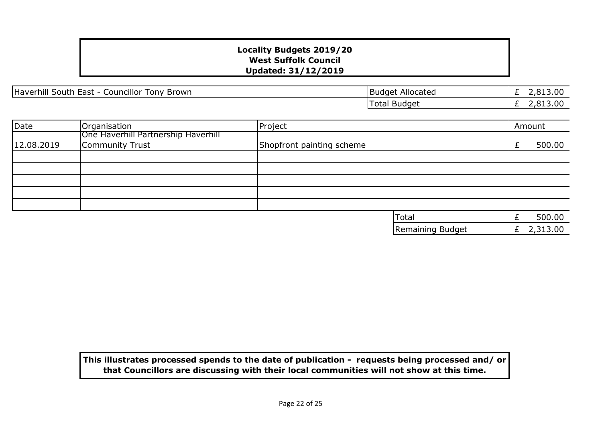Haverhill South East - Councillor Tony Brown Budget Allocated

£ 2,813.00 £ 2,813.00 Total Budget

| Date       | Organisation                        | Project                   |                  |   | Amount   |
|------------|-------------------------------------|---------------------------|------------------|---|----------|
|            | One Haverhill Partnership Haverhill |                           |                  |   |          |
| 12.08.2019 | Community Trust                     | Shopfront painting scheme |                  | £ | 500.00   |
|            |                                     |                           |                  |   |          |
|            |                                     |                           |                  |   |          |
|            |                                     |                           |                  |   |          |
|            |                                     |                           |                  |   |          |
|            |                                     |                           |                  |   |          |
|            |                                     |                           | <b>Total</b>     |   | 500.00   |
|            |                                     |                           | Remaining Budget | £ | 2,313.00 |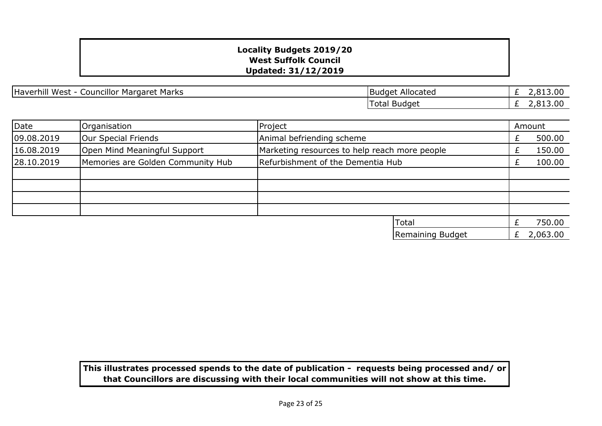Haverhill West - Councillor Margaret Marks **Budget Allocated** 

£ 2,813.00  $\overline{E}$  2,813.00 Total Budget

| Date       | Organisation                      | Project                           |                                               |   | Amount   |
|------------|-----------------------------------|-----------------------------------|-----------------------------------------------|---|----------|
| 09.08.2019 | Our Special Friends               | Animal befriending scheme         |                                               |   | 500.00   |
| 16.08.2019 | Open Mind Meaningful Support      |                                   | Marketing resources to help reach more people |   | 150.00   |
| 28.10.2019 | Memories are Golden Community Hub | Refurbishment of the Dementia Hub |                                               |   | 100.00   |
|            |                                   |                                   |                                               |   |          |
|            |                                   |                                   |                                               |   |          |
|            |                                   |                                   |                                               |   |          |
|            |                                   |                                   |                                               |   |          |
|            |                                   | Total                             |                                               |   | 750.00   |
|            |                                   |                                   | Remaining Budget                              | Ł | 2,063.00 |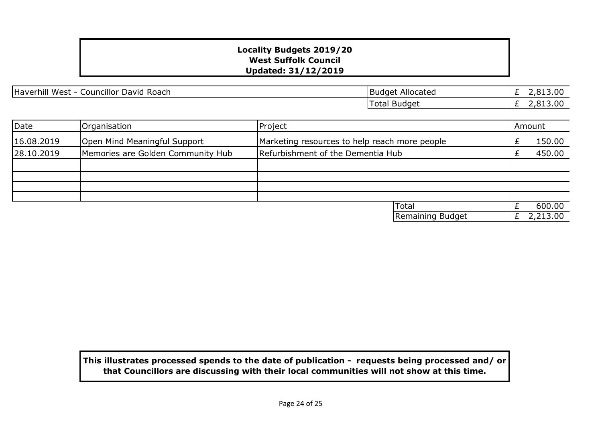Haverhill West - Councillor David Roach Budget Allocated

£ 2,813.00 £ 2,813.00 Total Budget

| Date       | Organisation                      | Project                                       |  | Amount   |
|------------|-----------------------------------|-----------------------------------------------|--|----------|
| 16.08.2019 | Open Mind Meaningful Support      | Marketing resources to help reach more people |  | 150.00   |
| 28.10.2019 | Memories are Golden Community Hub | Refurbishment of the Dementia Hub             |  | 450.00   |
|            |                                   |                                               |  |          |
|            |                                   |                                               |  |          |
|            |                                   |                                               |  |          |
|            |                                   |                                               |  |          |
|            |                                   | <b>Total</b>                                  |  | 600.00   |
|            |                                   | Remaining Budget                              |  | 2,213.00 |